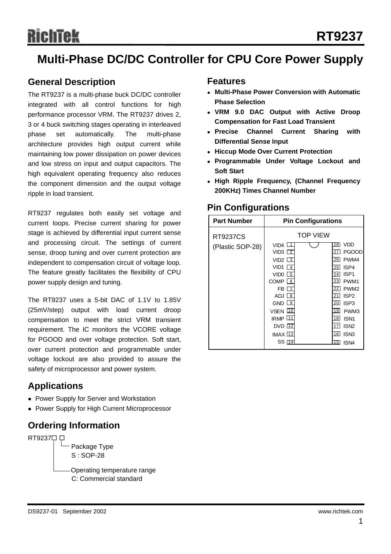## **Multi-Phase DC/DC Controller for CPU Core Power Supply**

### **General Description**

The RT9237 is a multi-phase buck DC/DC controller integrated with all control functions for high performance processor VRM. The RT9237 drives 2, 3 or 4 buck switching stages operating in interleaved phase set automatically. The multi-phase architecture provides high output current while maintaining low power dissipation on power devices and low stress on input and output capacitors. The high equivalent operating frequency also reduces the component dimension and the output voltage ripple in load transient.

RT9237 regulates both easily set voltage and current loops. Precise current sharing for power stage is achieved by differential input current sense and processing circuit. The settings of current sense, droop tuning and over current protection are independent to compensation circuit of voltage loop. The feature greatly facilitates the flexibility of CPU power supply design and tuning.

The RT9237 uses a 5-bit DAC of 1.1V to 1.85V (25mV/step) output with load current droop compensation to meet the strict VRM transient requirement. The IC monitors the VCORE voltage for PGOOD and over voltage protection. Soft start, over current protection and programmable under voltage lockout are also provided to assure the safety of microprocessor and power system.

## **Applications**

- Power Supply for Server and Workstation
- Power Supply for High Current Microprocessor

## **Ordering Information**

RT9237<sup> $\Box$ </sup>

Package Type S : SOP-28

Operating temperature range C: Commercial standard

#### **Features**

- **A Multi-Phase Power Conversion with Automatic Phase Selection**
- <sup>z</sup> **VRM 9.0 DAC Output with Active Droop Compensation for Fast Load Transient**
- **Precise Channel Current Sharing with Differential Sense Input**
- **Hiccup Mode Over Current Protection**
- **Programmable Under Voltage Lockout and Soft Start**
- **High Ripple Frequency, (Channel Frequency 200KHz) Times Channel Number**

## **Pin Configurations**

| <b>Part Number</b>           | <b>Pin Configurations</b>                                                                                                                                                                                                                                                                                                                                                                                                                          |
|------------------------------|----------------------------------------------------------------------------------------------------------------------------------------------------------------------------------------------------------------------------------------------------------------------------------------------------------------------------------------------------------------------------------------------------------------------------------------------------|
| RT9237CS<br>(Plastic SOP-28) | <b>TOP VIEW</b><br><b>VDD</b><br>28<br>VID4<br>$\overline{1}$<br>$VID3$ $2$<br><b>PGOOD</b><br>27<br>PWM4<br>26<br>VID2 $\boxed{3}$<br>VID1<br>ISP4<br>$\overline{4}$<br>25 l<br>ISP <sub>1</sub><br>$VIDO$ 5<br>24<br>23<br>$COMP$ $6$<br>PWM <sub>1</sub><br>PWM <sub>2</sub><br>$FB$ $\overline{7}$<br>$\overline{2}21$<br>ISP <sub>2</sub><br>ADJ 8<br>21<br>$GND$ $19$<br>20 <sub>l</sub><br>ISP <sub>3</sub><br><b>VSEN 10</b><br>19<br>PWM3 |
|                              | <b>IRMP 11</b><br>18<br>ISN <sub>1</sub><br>17<br>ISN <sub>2</sub><br><b>DVD</b> 12<br>16 I<br>ISN <sub>3</sub><br>IMAX <sub>13</sub><br><b>SS 114</b><br>15<br>ISN4                                                                                                                                                                                                                                                                               |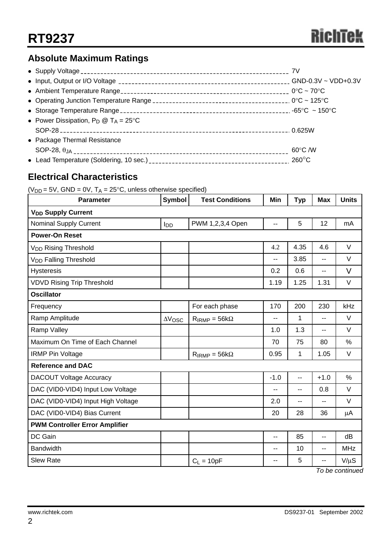## **Absolute Maximum Ratings**

| • Power Dissipation, $P_D @ T_A = 25^{\circ}C$ |         |
|------------------------------------------------|---------|
|                                                |         |
| • Package Thermal Resistance                   |         |
|                                                | 60°C /W |
|                                                |         |

## **Electrical Characteristics**

( $V_{DD}$  = 5V, GND = 0V, T<sub>A</sub> = 25°C, unless otherwise specified)

| <b>Parameter</b>                      | <b>Symbol</b>   | <b>Test Conditions</b> | Min                      | <b>Typ</b> | <b>Max</b>               | <b>Units</b> |  |  |  |
|---------------------------------------|-----------------|------------------------|--------------------------|------------|--------------------------|--------------|--|--|--|
| <b>V<sub>DD</sub> Supply Current</b>  |                 |                        |                          |            |                          |              |  |  |  |
| Nominal Supply Current                | I <sub>DD</sub> | PWM 1,2,3,4 Open       | $\mathrel{{-}-}$         | 5          | 12                       | mA           |  |  |  |
| <b>Power-On Reset</b>                 |                 |                        |                          |            |                          |              |  |  |  |
| V <sub>DD</sub> Rising Threshold      |                 |                        | 4.2                      | 4.35       | 4.6                      | $\vee$       |  |  |  |
| V <sub>DD</sub> Falling Threshold     |                 |                        |                          | 3.85       | --                       | $\vee$       |  |  |  |
| <b>Hysteresis</b>                     |                 |                        | 0.2                      | 0.6        | $\overline{\phantom{a}}$ | $\vee$       |  |  |  |
| <b>VDVD Rising Trip Threshold</b>     |                 |                        | 1.19                     | 1.25       | 1.31                     | $\vee$       |  |  |  |
| <b>Oscillator</b>                     |                 |                        |                          |            |                          |              |  |  |  |
| Frequency                             |                 | For each phase         | 170                      | 200        | 230                      | kHz          |  |  |  |
| Ramp Amplitude                        | $\Delta V$ OSC  | $R_{IRMP} = 56k\Omega$ | $\overline{\phantom{a}}$ | 1          | $-$                      | $\vee$       |  |  |  |
| Ramp Valley                           |                 |                        | 1.0                      | 1.3        | $\overline{a}$           | $\vee$       |  |  |  |
| Maximum On Time of Each Channel       |                 |                        | 70                       | 75         | 80                       | %            |  |  |  |
| <b>IRMP Pin Voltage</b>               |                 | $R_{IRMP} = 56k\Omega$ | 0.95                     | 1          | 1.05                     | $\vee$       |  |  |  |
| <b>Reference and DAC</b>              |                 |                        |                          |            |                          |              |  |  |  |
| <b>DACOUT Voltage Accuracy</b>        |                 |                        | $-1.0$                   | --         | $+1.0$                   | $\%$         |  |  |  |
| DAC (VID0-VID4) Input Low Voltage     |                 |                        | --                       | --         | 0.8                      | V            |  |  |  |
| DAC (VID0-VID4) Input High Voltage    |                 |                        | 2.0                      | --         | --                       | $\vee$       |  |  |  |
| DAC (VID0-VID4) Bias Current          |                 |                        | 20                       | 28         | 36                       | μA           |  |  |  |
| <b>PWM Controller Error Amplifier</b> |                 |                        |                          |            |                          |              |  |  |  |
| DC Gain                               |                 |                        | $\overline{\phantom{a}}$ | 85         | $-$                      | dB           |  |  |  |
| <b>Bandwidth</b>                      |                 |                        | --                       | 10         | --                       | <b>MHz</b>   |  |  |  |
| <b>Slew Rate</b>                      |                 | $C_L = 10pF$           | --                       | 5          | $\overline{\phantom{a}}$ | $V/\mu S$    |  |  |  |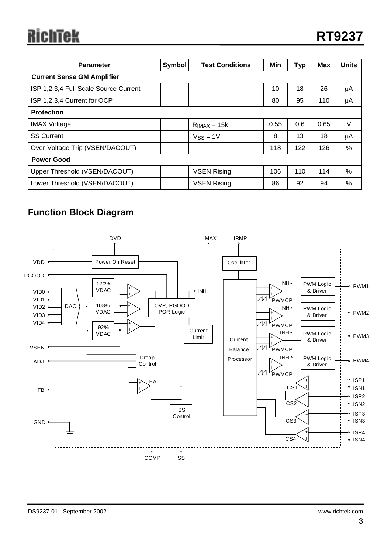## ichtek

| <b>Parameter</b>                      | Symbol<br><b>Test Conditions</b> |                    | Min  | <b>Typ</b> | Max  | <b>Units</b> |  |  |
|---------------------------------------|----------------------------------|--------------------|------|------------|------|--------------|--|--|
| <b>Current Sense GM Amplifier</b>     |                                  |                    |      |            |      |              |  |  |
| ISP 1,2,3,4 Full Scale Source Current |                                  |                    | 10   | 18         | 26   | μA           |  |  |
| ISP 1,2,3,4 Current for OCP           |                                  |                    | 80   | 95         | 110  | μA           |  |  |
| <b>Protection</b>                     |                                  |                    |      |            |      |              |  |  |
| <b>IMAX Voltage</b>                   |                                  | $RIMAX = 15k$      | 0.55 | 0.6        | 0.65 | V            |  |  |
| <b>SS Current</b>                     |                                  | $V_{SS} = 1V$      | 8    | 13         | 18   | μA           |  |  |
| Over-Voltage Trip (VSEN/DACOUT)       |                                  |                    | 118  | 122        | 126  | %            |  |  |
| <b>Power Good</b>                     |                                  |                    |      |            |      |              |  |  |
| Upper Threshold (VSEN/DACOUT)         |                                  | <b>VSEN Rising</b> | 106  | 110        | 114  | %            |  |  |
| Lower Threshold (VSEN/DACOUT)         |                                  | <b>VSEN Rising</b> | 86   | 92         | 94   | %            |  |  |

## **Function Block Diagram**

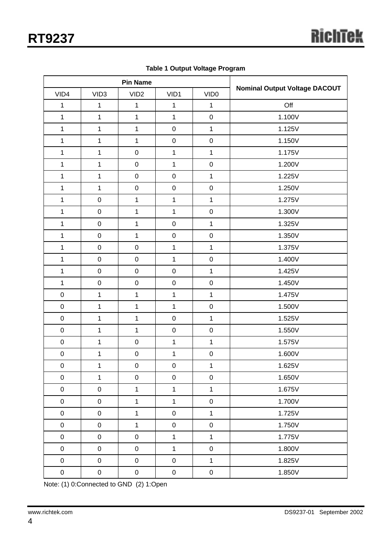$\overline{\mathbf{1}}$ 

|              | <b>Pin Name</b>  |                  |              |                     |                                      |  |  |
|--------------|------------------|------------------|--------------|---------------------|--------------------------------------|--|--|
| VID4         | VID <sub>3</sub> | VID <sub>2</sub> | VID1         | VID <sub>0</sub>    | <b>Nominal Output Voltage DACOUT</b> |  |  |
| $\mathbf{1}$ | $\mathbf 1$      | $\mathbf{1}$     | $\mathbf{1}$ | $\mathbf{1}$        | Off                                  |  |  |
| $\mathbf 1$  | $\mathbf{1}$     | $\mathbf{1}$     | $\mathbf{1}$ | $\pmb{0}$           | 1.100V                               |  |  |
| $\mathbf{1}$ | $\mathbf{1}$     | $\mathbf{1}$     | $\mathbf 0$  | $\mathbf{1}$        | 1.125V                               |  |  |
| $\mathbf 1$  | $\mathbf 1$      | $\mathbf{1}$     | $\mathbf 0$  | $\pmb{0}$           | 1.150V                               |  |  |
| $\mathbf{1}$ | $\mathbf{1}$     | $\mathbf 0$      | $\mathbf{1}$ | $\mathbf{1}$        | 1.175V                               |  |  |
| $\mathbf 1$  | $\mathbf 1$      | $\mathbf 0$      | $\mathbf{1}$ | $\pmb{0}$           | 1.200V                               |  |  |
| $\mathbf{1}$ | $\mathbf{1}$     | $\mathbf 0$      | $\mathbf 0$  | $\mathbf{1}$        | 1.225V                               |  |  |
| $\mathbf 1$  | $\mathbf{1}$     | $\mathbf 0$      | $\mathsf 0$  | $\pmb{0}$           | 1.250V                               |  |  |
| $\mathbf{1}$ | $\mathbf 0$      | $\mathbf{1}$     | $\mathbf{1}$ | $\mathbf{1}$        | 1.275V                               |  |  |
| $\mathbf 1$  | $\mathbf 0$      | $\mathbf 1$      | $\mathbf{1}$ | $\mathbf 0$         | 1.300V                               |  |  |
| $\mathbf{1}$ | $\mathbf 0$      | $\mathbf{1}$     | $\mathbf 0$  | $\mathbf{1}$        | 1.325V                               |  |  |
| $\mathbf{1}$ | $\mathbf 0$      | $\mathbf{1}$     | $\mathsf 0$  | $\mathbf 0$         | 1.350V                               |  |  |
| $\mathbf{1}$ | $\mathbf 0$      | $\mathbf 0$      | $\mathbf{1}$ | $\mathbf{1}$        | 1.375V                               |  |  |
| $\mathbf{1}$ | $\mathbf 0$      | $\pmb{0}$        | $\mathbf{1}$ | $\pmb{0}$           | 1.400V                               |  |  |
| $\mathbf{1}$ | $\mathbf 0$      | $\mathbf 0$      | $\mathbf 0$  | $\mathbf{1}$        | 1.425V                               |  |  |
| $\mathbf{1}$ | $\mathbf 0$      | $\mathbf 0$      | $\pmb{0}$    | $\mathbf 0$         | 1.450V                               |  |  |
| $\pmb{0}$    | $\mathbf 1$      | $\mathbf{1}$     | $\mathbf{1}$ | $\mathbf{1}$        | 1.475V                               |  |  |
| $\mathbf 0$  | $\mathbf 1$      | $\mathbf{1}$     | $\mathbf{1}$ | $\pmb{0}$           | 1.500V                               |  |  |
| $\pmb{0}$    | $\mathbf{1}$     | $\mathbf{1}$     | $\mathbf 0$  | $\mathbf{1}$        | 1.525V                               |  |  |
| $\mathbf 0$  | $\mathbf 1$      | $\mathbf{1}$     | $\mathbf 0$  | $\pmb{0}$           | 1.550V                               |  |  |
| $\pmb{0}$    | $\mathbf{1}$     | $\mathbf 0$      | $\mathbf{1}$ | $\mathbf{1}$        | 1.575V                               |  |  |
| $\mathbf 0$  | $\mathbf 1$      | $\pmb{0}$        | $\mathbf{1}$ | $\pmb{0}$           | 1.600V                               |  |  |
| $\pmb{0}$    | $\mathbf 1$      | $\pmb{0}$        | $\mathbf 0$  | $\mathbf{1}$        | 1.625V                               |  |  |
| $\pmb{0}$    | 1                | 0                | $\pmb{0}$    | $\pmb{0}$           | 1.650V                               |  |  |
| $\pmb{0}$    | $\pmb{0}$        | $\mathbf{1}$     | $\mathbf{1}$ | $\mathbf{1}$        | 1.675V                               |  |  |
| $\pmb{0}$    | $\pmb{0}$        | $\mathbf{1}$     | $\mathbf{1}$ | $\pmb{0}$           | 1.700V                               |  |  |
| $\pmb{0}$    | $\pmb{0}$        | $\mathbf{1}$     | $\mathsf 0$  | $\mathbf{1}$        | 1.725V                               |  |  |
| $\pmb{0}$    | $\pmb{0}$        | $\mathbf{1}$     | $\mathsf 0$  | $\mathsf{O}\xspace$ | 1.750V                               |  |  |
| $\pmb{0}$    | $\pmb{0}$        | $\mathbf 0$      | $\mathbf{1}$ | $\mathbf{1}$        | 1.775V                               |  |  |
| $\pmb{0}$    | $\pmb{0}$        | $\mathsf 0$      | $\mathbf{1}$ | $\pmb{0}$           | 1.800V                               |  |  |
| $\pmb{0}$    | $\pmb{0}$        | $\mathsf 0$      | $\mathsf 0$  | $\mathbf{1}$        | 1.825V                               |  |  |
| $\pmb{0}$    | $\pmb{0}$        | 0                | $\pmb{0}$    | $\pmb{0}$           | 1.850V                               |  |  |

**Table 1 Output Voltage Program**

 $\overline{\mathsf{T}}$ 

Note: (1) 0:Connected to GND (2) 1:Open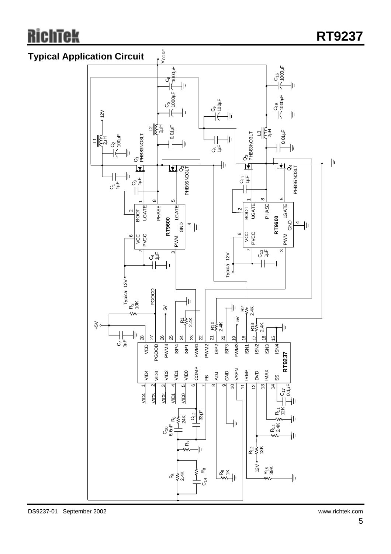# Richtek

**Typical Application Circuit**

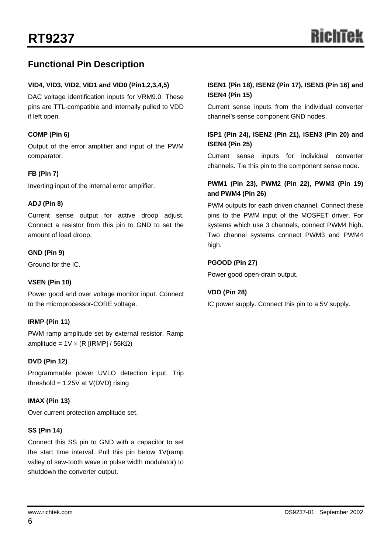## **Functional Pin Description**

#### **VID4, VID3, VID2, VID1 and VID0 (Pin1,2,3,4,5)**

DAC voltage identification inputs for VRM9.0. These pins are TTL-compatible and internally pulled to VDD if left open.

#### **COMP (Pin 6)**

Output of the error amplifier and input of the PWM comparator.

#### **FB (Pin 7)**

Inverting input of the internal error amplifier.

#### **ADJ (Pin 8)**

Current sense output for active droop adjust. Connect a resistor from this pin to GND to set the amount of load droop.

#### **GND (Pin 9)**

Ground for the IC.

#### **VSEN (Pin 10)**

Power good and over voltage monitor input. Connect to the microprocessor-CORE voltage.

#### **IRMP (Pin 11)**

PWM ramp amplitude set by external resistor. Ramp amplitude =  $1V \times (R$  [IRMP] / 56KΩ)

#### **DVD (Pin 12)**

Programmable power UVLO detection input. Trip threshold =  $1.25V$  at  $V(DVD)$  rising

#### **IMAX (Pin 13)**

Over current protection amplitude set.

#### **SS (Pin 14)**

Connect this SS pin to GND with a capacitor to set the start time interval. Pull this pin below 1V(ramp valley of saw-tooth wave in pulse width modulator) to shutdown the converter output.

#### **ISEN1 (Pin 18), ISEN2 (Pin 17), ISEN3 (Pin 16) and ISEN4 (Pin 15)**

Current sense inputs from the individual converter channel's sense component GND nodes.

#### **ISP1 (Pin 24), ISEN2 (Pin 21), ISEN3 (Pin 20) and ISEN4 (Pin 25)**

Current sense inputs for individual converter channels. Tie this pin to the component sense node.

#### **PWM1 (Pin 23), PWM2 (Pin 22), PWM3 (Pin 19) and PWM4 (Pin 26)**

PWM outputs for each driven channel. Connect these pins to the PWM input of the MOSFET driver. For systems which use 3 channels, connect PWM4 high. Two channel systems connect PWM3 and PWM4 high.

#### **PGOOD (Pin 27)**

Power good open-drain output.

#### **VDD (Pin 28)**

IC power supply. Connect this pin to a 5V supply.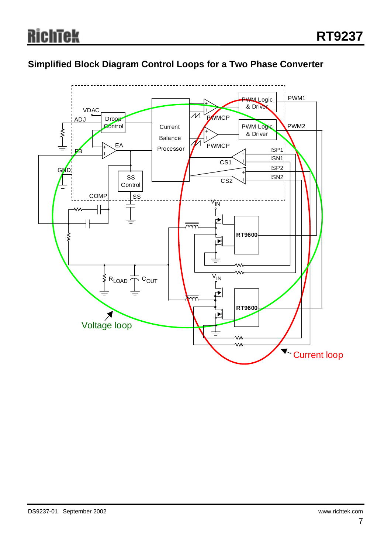## **Simplified Block Diagram Control Loops for a Two Phase Converter**

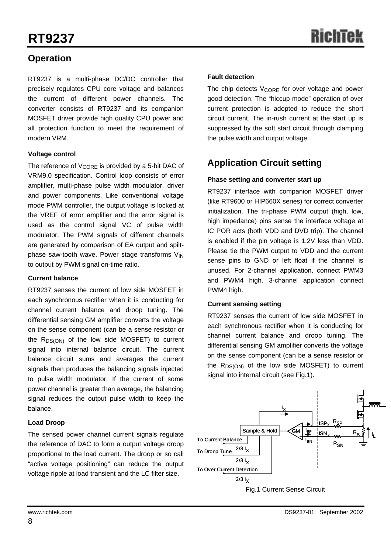## **Operation**

RT9237 is a multi-phase DC/DC controller that precisely regulates CPU core voltage and balances the current of different power channels. The converter consists of RT9237 and its companion MOSFET driver provide high quality CPU power and all protection function to meet the requirement of modern VRM.

#### **Voltage control**

The reference of  $V_{\text{CORE}}$  is provided by a 5-bit DAC of VRM9.0 specification. Control loop consists of error amplifier, multi-phase pulse width modulator, driver and power components. Like conventional voltage mode PWM controller, the output voltage is locked at the VREF of error amplifier and the error signal is used as the control signal VC of pulse width modulator. The PWM signals of different channels are generated by comparison of EA output and spiltphase saw-tooth wave. Power stage transforms  $V_{IN}$ to output by PWM signal on-time ratio.

#### **Current balance**

RT9237 senses the current of low side MOSFET in each synchronous rectifier when it is conducting for channel current balance and droop tuning. The differential sensing GM amplifier converts the voltage on the sense component (can be a sense resistor or the  $R_{DS(ON)}$  of the low side MOSFET) to current signal into internal balance circuit. The current balance circuit sums and averages the current signals then produces the balancing signals injected to pulse width modulator. If the current of some power channel is greater than average, the balancing signal reduces the output pulse width to keep the balance.

#### **Load Droop**

The sensed power channel current signals regulate the reference of DAC to form a output voltage droop proportional to the load current. The droop or so call "active voltage positioning" can reduce the output voltage ripple at load transient and the LC filter size.

#### **Fault detection**

The chip detects  $V_{\text{CORE}}$  for over voltage and power good detection. The "hiccup mode" operation of over current protection is adopted to reduce the short circuit current. The in-rush current at the start up is suppressed by the soft start circuit through clamping the pulse width and output voltage.

## **Application Circuit setting**

#### **Phase setting and converter start up**

RT9237 interface with companion MOSFET driver (like RT9600 or HIP660X series) for correct converter initialization. The tri-phase PWM output (high, low, high impedance) pins sense the interface voltage at IC POR acts (both VDD and DVD trip). The channel is enabled if the pin voltage is 1.2V less than VDD. Please tie the PWM output to VDD and the current sense pins to GND or left float if the channel is unused. For 2-channel application, connect PWM3 and PWM4 high. 3-channel application connect PWM4 high.

#### **Current sensing setting**

RT9237 senses the current of low side MOSFET in each synchronous rectifier when it is conducting for channel current balance and droop tuning. The differential sensing GM amplifier converts the voltage on the sense component (can be a sense resistor or the  $R_{DS(ON)}$  of the low side MOSFET) to current signal into internal circuit (see Fig.1).

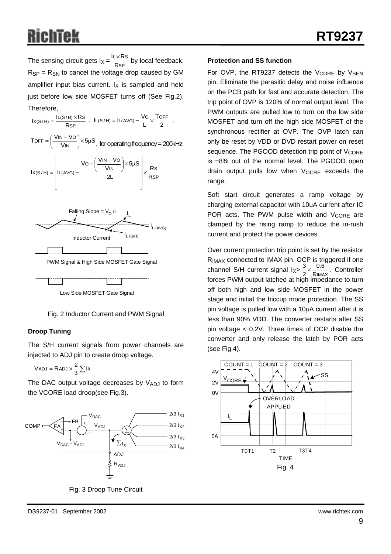The sensing circuit gets  $I_X = \frac{B \times B}{RSP}$  by local feedback.  $R_{SP}$  =  $R_{SN}$  to cancel the voltage drop caused by GM amplifier input bias current.  $I_X$  is sampled and held just before low side MOSFET turns off (See Fig.2). Therefore, <code>L $\times$ Rs</code> R  $\mathsf{IL} \times \mathsf{R}$ 

$$
lx(S/H) = \frac{IL(S/H) \times RS}{RSP} , \ \ IL(S/H) = IL(AVG) - \frac{Vo}{L} \times \frac{TOFF}{2} ,
$$

 $\mathsf{TOFF} = \left(\frac{\mathsf{V}\mathsf{IN} - \mathsf{VO}}{\mathsf{V}\mathsf{IN}}\right) \times 5\mu\mathsf{S}$ OFF  $=\left(\frac{V_{IN} - V_{O}}{V_{IN}}\right) \times 5\mu$ l TOFF =  $\left(\frac{V_{IN} - V_{O}}{V_{IN}}\right) \times 5\mu S$ , for operating frequency = 200kHz





PWM Signal & High Side MOSFET Gate Signal



Low Side MOSFET Gate Signal



#### **Droop Tuning**

The S/H current signals from power channels are injected to ADJ pin to create droop voltage.

$$
VADJ = RADJ \times \frac{2}{3} \sum Ix
$$

The DAC output voltage decreases by  $V_{ADJ}$  to form the VCORE load droop(see Fig.3).



Fig. 3 Droop Tune Circuit

#### **Protection and SS function**

For OVP, the RT9237 detects the V<sub>CORF</sub> by V<sub>SFN</sub> pin. Eliminate the parasitic delay and noise influence on the PCB path for fast and accurate detection. The trip point of OVP is 120% of normal output level. The PWM outputs are pulled low to turn on the low side MOSFET and turn off the high side MOSFET of the synchronous rectifier at OVP. The OVP latch can only be reset by VDD or DVD restart power on reset sequence. The PGOOD detection trip point of  $V_{\text{CORF}}$ is ±8% out of the normal level. The PGOOD open drain output pulls low when V<sub>OCRE</sub> exceeds the range.

Soft start circuit generates a ramp voltage by charging external capacitor with 10uA current after IC POR acts. The PWM pulse width and  $V_{\text{CORF}}$  are clamped by the rising ramp to reduce the in-rush current and protect the power devices.

Over current protection trip point is set by the resistor R<sub>IMAX</sub> connected to IMAX pin. OCP is triggered if one channel S/H current signal  $I_X > \frac{3}{2} \times \frac{0.6}{R_{\text{IMAX}}}$ . Controller forces PWM output latched at high impedance to turn off both high and low side MOSFET in the power stage and initial the hiccup mode protection. The SS pin voltage is pulled low with a 10µA current after it is less than 90% VDD. The converter restarts after SS pin voltage < 0.2V. Three times of OCP disable the converter and only release the latch by POR acts (see Fig.4). 0.6 2  $\frac{3}{2}$   $\times$ 

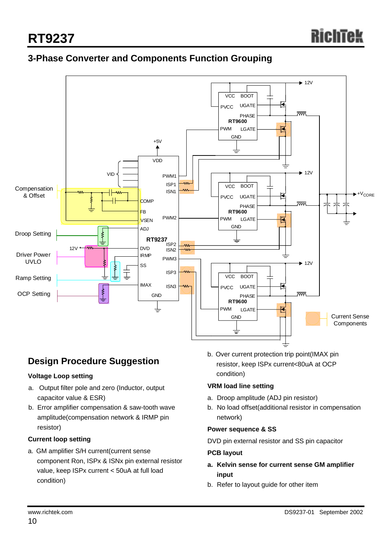## **3-Phase Converter and Components Function Grouping**



## **Design Procedure Suggestion**

#### **Voltage Loop setting**

- a. Output filter pole and zero (Inductor, output capacitor value & ESR)
- b. Error amplifier compensation & saw-tooth wave amplitude(compensation network & IRMP pin resistor)

#### **Current loop setting**

a. GM amplifier S/H current(current sense component Ron, ISPx & ISNx pin external resistor value, keep ISPx current < 50uA at full load condition)

b. Over current protection trip point(IMAX pin resistor, keep ISPx current<80uA at OCP condition)

#### **VRM load line setting**

- a. Droop amplitude (ADJ pin resistor)
- b. No load offset(additional resistor in compensation network)

#### **Power sequence & SS**

DVD pin external resistor and SS pin capacitor

#### **PCB layout**

- **a. Kelvin sense for current sense GM amplifier input**
- b. Refer to layout guide for other item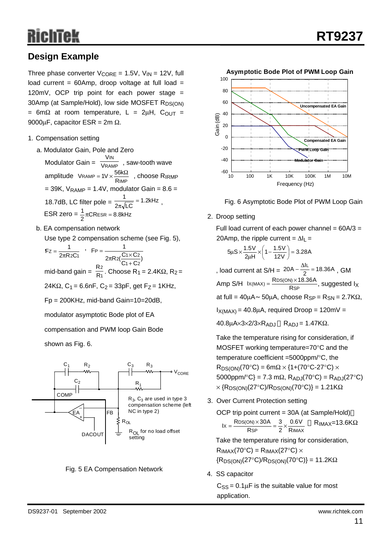## **Design Example**

Three phase converter  $V_{\text{CORE}} = 1.5V$ ,  $V_{\text{IN}} = 12V$ , full load current = 60Amp, droop voltage at full load = 120mV, OCP trip point for each power stage = 30Amp (at Sample/Hold), low side MOSFET R<sub>DS(ON)</sub> = 6mΩ at room temperature, L = 2μH, C<sub>OUT</sub> = 9000µF, capacitor ESR =  $2m \Omega$ .

- 1. Compensation setting
	- amplitude  $\text{VramP} = 1 \text{V} \times \frac{56 \text{k}\Omega}{\text{RIMP}}$ , choose R<sub>IRMP</sub> 1.2kHz 18.7dB, LC filter pole =  $\frac{1}{2\pi\sqrt{LC}}$  = 1.2kHz,  $\frac{1}{2}\pi$ CRESR = 8.8kHz ESR zero =  $\frac{1}{6}$ πCRESR = a. Modulator Gain, Pole and Zero Modulator Gain =  $\frac{1}{\sqrt{RAMP}}$  , saw-tooth wave  $= 39K$ ,  $V_{\text{RAMP}} = 1.4V$ , modulator Gain = 8.6 = IN V V
	- b. EA compensation network

Use type 2 compensation scheme (see Fig. 5),

$$
Fz = \frac{1}{2\pi R \cdot 2C_1}, \quad FP = \frac{1}{2\pi R \cdot 2(\frac{C_1 \times C_2}{C_1 + C_2})}
$$
  
mid-band gain =  $\frac{R_2}{R_1}$ . Choose  $R_1 = 2.4K\Omega$ ,  $R_2 = 24K\Omega$ ,  $C_1 = 6.6nF$ ,  $C_2 = 33pF$ , get  $F_Z = 1KHz$ ,

 $Fp = 200KHz$ , mid-band Gain=10=20dB,

modulator asymptotic Bode plot of EA

compensation and PWM loop Gain Bode

shown as Fig. 6.









2. Droop setting

Full load current of each power channel =  $60A/3 =$ 20Amp, the ripple current =  $\Delta I_L$  =

$$
5 \mu S \times \frac{1.5 V}{2 \mu H} \times \left(1 - \frac{1.5 V}{12 V}\right) = 3.28 A
$$

, load current at S/H =  $20A - \frac{1}{2}$  = 18.36A, GM Amp S/H  $\frac{1}{x}$   $\frac{1}{x}$   $\frac{1}{x}$   $\frac{1}{x}$   $\frac{1}{x}$   $\frac{1}{x}$  suggested  $\frac{1}{x}$ at full =  $40\mu$ A 50 $\mu$ A, choose R<sub>SP</sub> = R<sub>SN</sub> = 2.7K $\Omega$ ,  $I_{X(MAX)} = 40.8\mu$ A, required Droop = 120mV =  $20A - \frac{\Delta I L}{2} = 18.36A$  $\text{IX}(\text{MAX}) = \frac{\text{RDS}(\text{ON}) \times 18.36 \text{A}}{\text{RSP}}$ 

 $40.8\mu$ A×3×2/3×R<sub>ADJ</sub> R<sub>ADJ</sub> = 1.47K $\Omega$ .

Take the temperature rising for consideration, if MOSFET working temperature=70°C and the temperature coefficient =5000ppm/°C, the  $R_{DS(ON)}(70^{\circ}C) = 6m\Omega \times \{1+(70^{\circ}C\text{-}27^{\circ}C) \times$ 5000ppm/°C} = 7.3 mΩ,  $R_{ADJ}(70°C) = R_{ADJ}(27°C)$  $\times$  {R<sub>DS(ON)</sub>(27°C)/R<sub>DS(ON)</sub>(70°C)} = 1.21KΩ

3. Over Current Protection setting

OCP trip point current = 30A (at Sample/Hold)  
\n
$$
lx = \frac{RDS(ON) \times 30A}{RSP} = \frac{3}{2} \times \frac{0.6V}{RIMAX} \qquad RIMAX = 13.6K\Omega
$$

Take the temperature rising for consideration,  $R_{IMAX}(70^{\circ}C) = R_{IMAX}(27^{\circ}C) \times$  ${R_{DS(ON)}(27^{\circ}C)/R_{DS(ON)}(70^{\circ}C)} = 11.2K\Omega$ 

4. SS capacitor

 $C_{SS} = 0.1 \mu F$  is the suitable value for most application.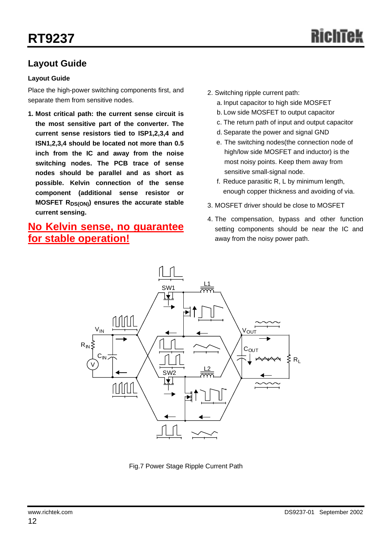## **Layout Guide**

#### **Layout Guide**

Place the high-power switching components first, and separate them from sensitive nodes.

**1. Most critical path: the current sense circuit is the most sensitive part of the converter. The current sense resistors tied to ISP1,2,3,4 and ISN1,2,3,4 should be located not more than 0.5 inch from the IC and away from the noise switching nodes. The PCB trace of sense nodes should be parallel and as short as possible. Kelvin connection of the sense component (additional sense resistor or MOSFET RDS(ON)** ensures the accurate stable **current sensing.**

## **No Kelvin sense, no guarantee for stable operation!**

- 2. Switching ripple current path:
	- a. Input capacitor to high side MOSFET
	- b. Low side MOSFET to output capacitor
	- c. The return path of input and output capacitor
	- d. Separate the power and signal GND
	- e. The switching nodes(the connection node of high/low side MOSFET and inductor) is the most noisy points. Keep them away from sensitive small-signal node.
	- f. Reduce parasitic R, L by minimum length, enough copper thickness and avoiding of via.
- 3. MOSFET driver should be close to MOSFET
- 4. The compensation, bypass and other function setting components should be near the IC and away from the noisy power path.



Fig.7 Power Stage Ripple Current Path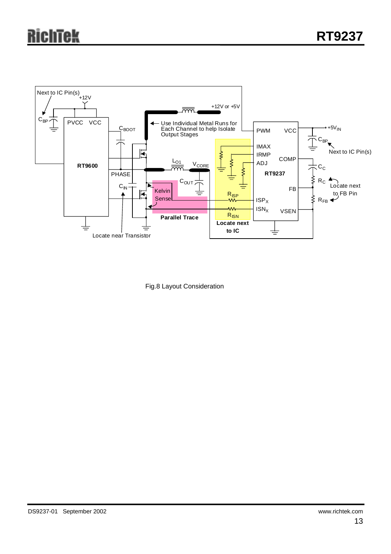

Fig.8 Layout Consideration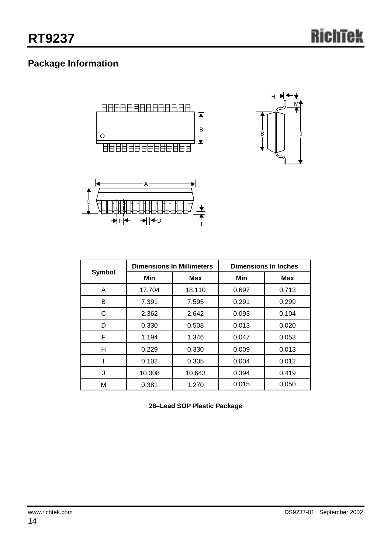## **Package Information**



|        |        | <b>Dimensions In Millimeters</b> | <b>Dimensions In Inches</b> |            |  |
|--------|--------|----------------------------------|-----------------------------|------------|--|
| Symbol | Min    | <b>Max</b>                       | Min                         | <b>Max</b> |  |
| A      | 17.704 | 18.110                           | 0.697                       | 0.713      |  |
| в      | 7.391  | 0.291<br>7.595                   |                             | 0.299      |  |
| C      | 2.362  | 2.642                            | 0.093                       | 0.104      |  |
| D      | 0.330  | 0.508                            | 0.013                       | 0.020      |  |
| F      | 1.194  | 1.346                            | 0.047                       | 0.053      |  |
| н      | 0.229  | 0.330                            | 0.009                       | 0.013      |  |
|        | 0.102  | 0.305                            | 0.004                       | 0.012      |  |
| J      | 10.008 | 10.643                           | 0.394                       | 0.419      |  |
| М      | 0.381  | 1.270                            | 0.015                       | 0.050      |  |

**28–Lead SOP Plastic Package**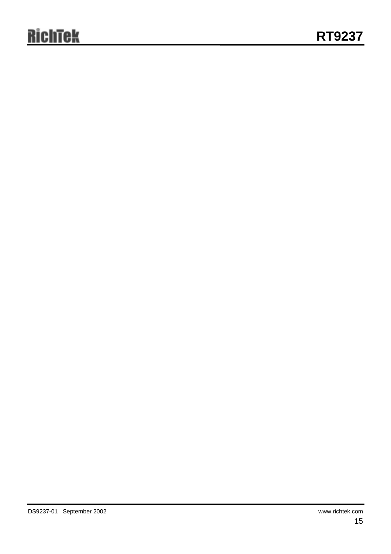## **RichTek**